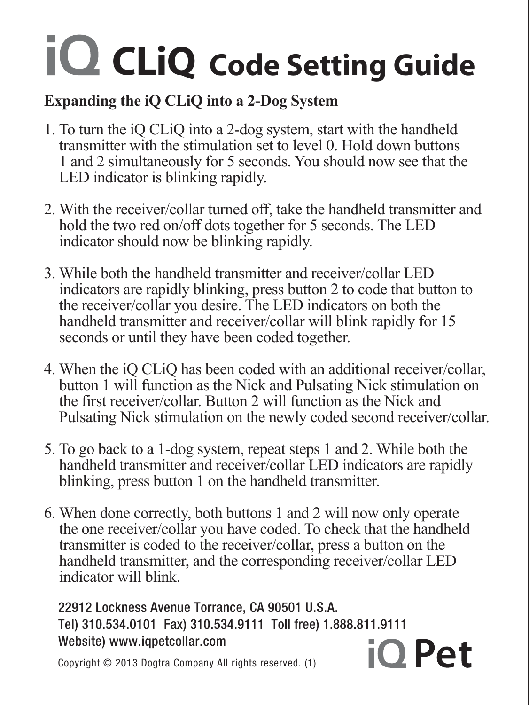# $CLiQ$  Code Setting Guide

### Expanding the iQ CLiQ into a 2-Dog System

- 1. To turn the iQ CLiQ into a 2-dog system, start with the handheld transmitter with the stimulation set to level 0. Hold down buttons 1 and 2 simultaneously for 5 seconds. You should now see that the LED indicator is blinking rapidly.
- 2. With the receiver/collar turned off, take the handheld transmitter and hold the two red on/off dots together for 5 seconds. The LED indicator should now be blinking rapidly.
- 3. While both the handheld transmitter and receiver/collar LED indicators are rapidly blinking, press button 2 to code that button to the receiver/collar you desire. The LED indicators on both the handheld transmitter and receiver/collar will blink rapidly for 15 seconds or until they have been coded together.
- 4. When the iQ CLiQ has been coded with an additional receiver/collar, button 1 will function as the Nick and Pulsating Nick stimulation on the first receiver/collar. Button 2 will function as the Nick and Pulsating Nick stimulation on the newly coded second receiver/collar.
- 5. To go back to a 1-dog system, repeat steps 1 and 2. While both the handheld transmitter and receiver/collar LED indicators are rapidly blinking, press button 1 on the handheld transmitter.
- 6. When done correctly, both buttons 1 and 2 will now only operate the one receiver/collar you have coded. To check that the handheld transmitter is coded to the receiver/collar, press a button on the handheld transmitter, and the corresponding receiver/collar LED indicator will blink.

22912 Lockness Avenue Torrance, CA 90501 U.S.A. Tel) 310.534.0101 Fax) 310.534.9111 Toll free) 1.888.811.9111 Website) www.iqpetcollar.com  $i$ O Pet

Copyright © 2013 Dogtra Company All rights reserved. (1)